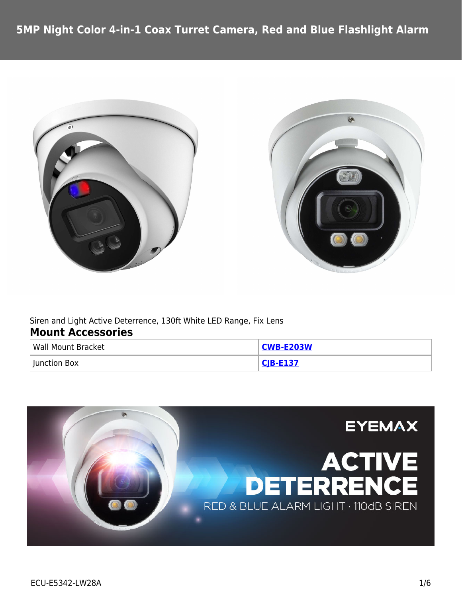



Siren and Light Active Deterrence, 130ft White LED Range, Fix Lens **Mount Accessories**

| Wall Mount Bracket | <b>CWB-E203W</b> |
|--------------------|------------------|
| Iunction Box       | $CIR$ . $F137$   |

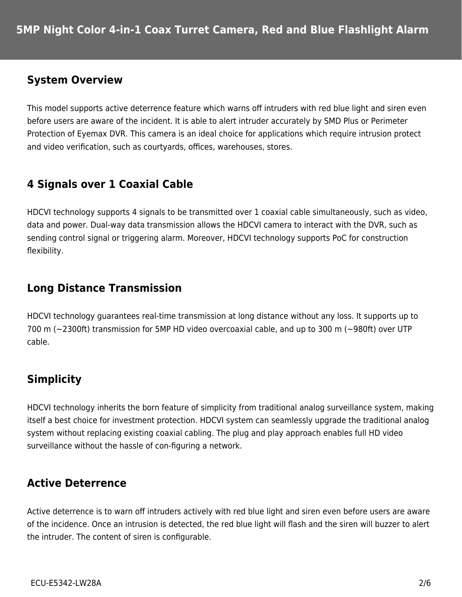### **System Overview**

This model supports active deterrence feature which warns off intruders with red blue light and siren even before users are aware of the incident. It is able to alert intruder accurately by SMD Plus or Perimeter Protection of Eyemax DVR. This camera is an ideal choice for applications which require intrusion protect and video verification, such as courtyards, offices, warehouses, stores.

# **4 Signals over 1 Coaxial Cable**

HDCVI technology supports 4 signals to be transmitted over 1 coaxial cable simultaneously, such as video, data and power. Dual-way data transmission allows the HDCVI camera to interact with the DVR, such as sending control signal or triggering alarm. Moreover, HDCVI technology supports PoC for construction flexibility.

## **Long Distance Transmission**

HDCVI technology guarantees real-time transmission at long distance without any loss. It supports up to 700 m (~2300ft) transmission for 5MP HD video overcoaxial cable, and up to 300 m (~980ft) over UTP cable.

# **Simplicity**

HDCVI technology inherits the born feature of simplicity from traditional analog surveillance system, making itself a best choice for investment protection. HDCVI system can seamlessly upgrade the traditional analog system without replacing existing coaxial cabling. The plug and play approach enables full HD video surveillance without the hassle of con-figuring a network.

## **Active Deterrence**

Active deterrence is to warn off intruders actively with red blue light and siren even before users are aware of the incidence. Once an intrusion is detected, the red blue light will flash and the siren will buzzer to alert the intruder. The content of siren is configurable.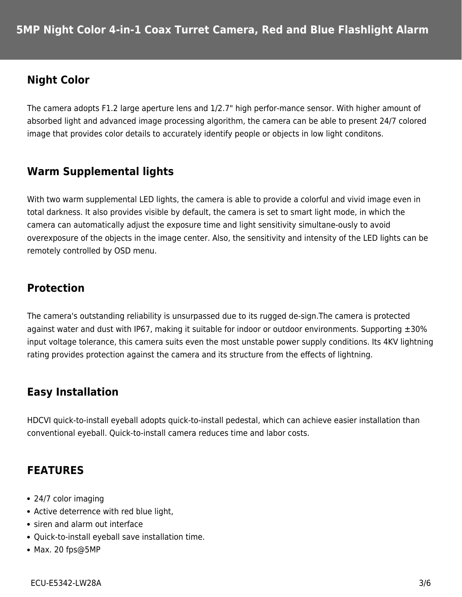## **Night Color**

The camera adopts F1.2 large aperture lens and 1/2.7" high perfor-mance sensor. With higher amount of absorbed light and advanced image processing algorithm, the camera can be able to present 24/7 colored image that provides color details to accurately identify people or objects in low light conditons.

## **Warm Supplemental lights**

With two warm supplemental LED lights, the camera is able to provide a colorful and vivid image even in total darkness. It also provides visible by default, the camera is set to smart light mode, in which the camera can automatically adjust the exposure time and light sensitivity simultane-ously to avoid overexposure of the objects in the image center. Also, the sensitivity and intensity of the LED lights can be remotely controlled by OSD menu.

## **Protection**

The camera's outstanding reliability is unsurpassed due to its rugged de-sign.The camera is protected against water and dust with IP67, making it suitable for indoor or outdoor environments. Supporting  $\pm 30\%$ input voltage tolerance, this camera suits even the most unstable power supply conditions. Its 4KV lightning rating provides protection against the camera and its structure from the effects of lightning.

#### **Easy Installation**

HDCVI quick-to-install eyeball adopts quick-to-install pedestal, which can achieve easier installation than conventional eyeball. Quick-to-install camera reduces time and labor costs.

## **FEATURES**

- 24/7 color imaging
- Active deterrence with red blue light,
- siren and alarm out interface
- Quick-to-install eyeball save installation time.
- Max. 20 fps@5MP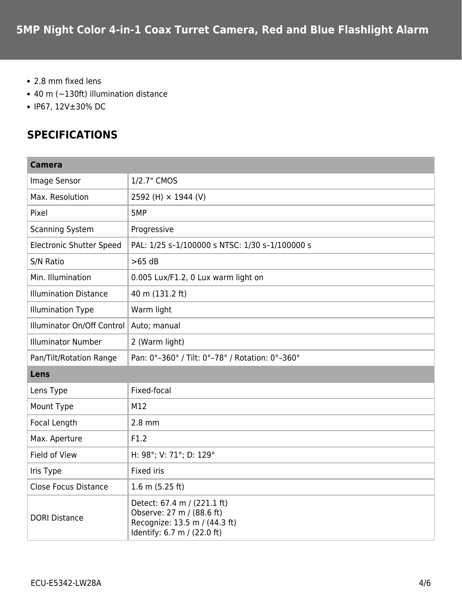- 2.8 mm fixed lens
- 40 m (~130ft) illumination distance
- IP67, 12V±30% DC

## **SPECIFICATIONS**

| <b>Camera</b>                   |                                                                                                                          |  |
|---------------------------------|--------------------------------------------------------------------------------------------------------------------------|--|
| Image Sensor                    | 1/2.7" CMOS                                                                                                              |  |
| Max. Resolution                 | 2592 (H) × 1944 (V)                                                                                                      |  |
| Pixel                           | 5MP                                                                                                                      |  |
| <b>Scanning System</b>          | Progressive                                                                                                              |  |
| <b>Electronic Shutter Speed</b> | PAL: 1/25 s-1/100000 s NTSC: 1/30 s-1/100000 s                                                                           |  |
| S/N Ratio                       | $>65$ dB                                                                                                                 |  |
| Min. Illumination               | 0.005 Lux/F1.2, 0 Lux warm light on                                                                                      |  |
| <b>Illumination Distance</b>    | 40 m (131.2 ft)                                                                                                          |  |
| <b>Illumination Type</b>        | Warm light                                                                                                               |  |
| Illuminator On/Off Control      | Auto; manual                                                                                                             |  |
| <b>Illuminator Number</b>       | 2 (Warm light)                                                                                                           |  |
| Pan/Tilt/Rotation Range         | Pan: 0°-360° / Tilt: 0°-78° / Rotation: 0°-360°                                                                          |  |
| Lens                            |                                                                                                                          |  |
| Lens Type                       | Fixed-focal                                                                                                              |  |
| Mount Type                      | M12                                                                                                                      |  |
| Focal Length                    | $2.8$ mm                                                                                                                 |  |
| Max. Aperture                   | F1.2                                                                                                                     |  |
| Field of View                   | H: 98°; V: 71°; D: 129°                                                                                                  |  |
| Iris Type                       | Fixed iris                                                                                                               |  |
| <b>Close Focus Distance</b>     | 1.6 m $(5.25 ft)$                                                                                                        |  |
| <b>DORI Distance</b>            | Detect: 67.4 m / (221.1 ft)<br>Observe: 27 m / (88.6 ft)<br>Recognize: 13.5 m / (44.3 ft)<br>Identify: 6.7 m / (22.0 ft) |  |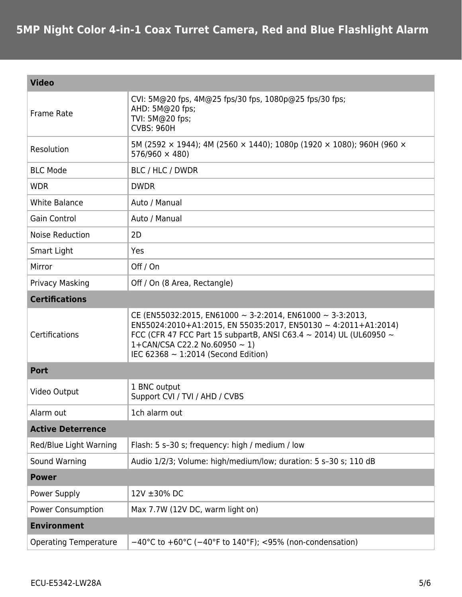| <b>Video</b>                 |                                                                                                                                                                                                                                                                                                         |  |
|------------------------------|---------------------------------------------------------------------------------------------------------------------------------------------------------------------------------------------------------------------------------------------------------------------------------------------------------|--|
| Frame Rate                   | CVI: 5M@20 fps, 4M@25 fps/30 fps, 1080p@25 fps/30 fps;<br>AHD: 5M@20 fps;<br>TVI: 5M@20 fps;<br><b>CVBS: 960H</b>                                                                                                                                                                                       |  |
| Resolution                   | 5M (2592 $\times$ 1944); 4M (2560 $\times$ 1440); 1080p (1920 $\times$ 1080); 960H (960 $\times$<br>$576/960 \times 480$                                                                                                                                                                                |  |
| <b>BLC Mode</b>              | BLC / HLC / DWDR                                                                                                                                                                                                                                                                                        |  |
| <b>WDR</b>                   | <b>DWDR</b>                                                                                                                                                                                                                                                                                             |  |
| <b>White Balance</b>         | Auto / Manual                                                                                                                                                                                                                                                                                           |  |
| <b>Gain Control</b>          | Auto / Manual                                                                                                                                                                                                                                                                                           |  |
| <b>Noise Reduction</b>       | 2D                                                                                                                                                                                                                                                                                                      |  |
| Smart Light                  | Yes                                                                                                                                                                                                                                                                                                     |  |
| Mirror                       | Off / On                                                                                                                                                                                                                                                                                                |  |
| Privacy Masking              | Off / On (8 Area, Rectangle)                                                                                                                                                                                                                                                                            |  |
| <b>Certifications</b>        |                                                                                                                                                                                                                                                                                                         |  |
| Certifications               | CE (EN55032:2015, EN61000 $\sim$ 3-2:2014, EN61000 $\sim$ 3-3:2013,<br>EN55024:2010+A1:2015, EN 55035:2017, EN50130 ~ 4:2011+A1:2014)<br>FCC (CFR 47 FCC Part 15 subpartB, ANSI C63.4 $\sim$ 2014) UL (UL60950 $\sim$<br>1+CAN/CSA C22.2 No.60950 $\sim$ 1)<br>IEC 62368 $\sim$ 1:2014 (Second Edition) |  |
| <b>Port</b>                  |                                                                                                                                                                                                                                                                                                         |  |
| Video Output                 | 1 BNC output<br>Support CVI / TVI / AHD / CVBS                                                                                                                                                                                                                                                          |  |
| Alarm out                    | 1ch alarm out                                                                                                                                                                                                                                                                                           |  |
| <b>Active Deterrence</b>     |                                                                                                                                                                                                                                                                                                         |  |
| Red/Blue Light Warning       | Flash: 5 s-30 s; frequency: high / medium / low                                                                                                                                                                                                                                                         |  |
| Sound Warning                | Audio 1/2/3; Volume: high/medium/low; duration: 5 s-30 s; 110 dB                                                                                                                                                                                                                                        |  |
| <b>Power</b>                 |                                                                                                                                                                                                                                                                                                         |  |
| Power Supply                 | 12V ±30% DC                                                                                                                                                                                                                                                                                             |  |
| <b>Power Consumption</b>     | Max 7.7W (12V DC, warm light on)                                                                                                                                                                                                                                                                        |  |
| <b>Environment</b>           |                                                                                                                                                                                                                                                                                                         |  |
| <b>Operating Temperature</b> | $-40^{\circ}$ C to +60°C ( $-40^{\circ}$ F to 140°F); <95% (non-condensation)                                                                                                                                                                                                                           |  |